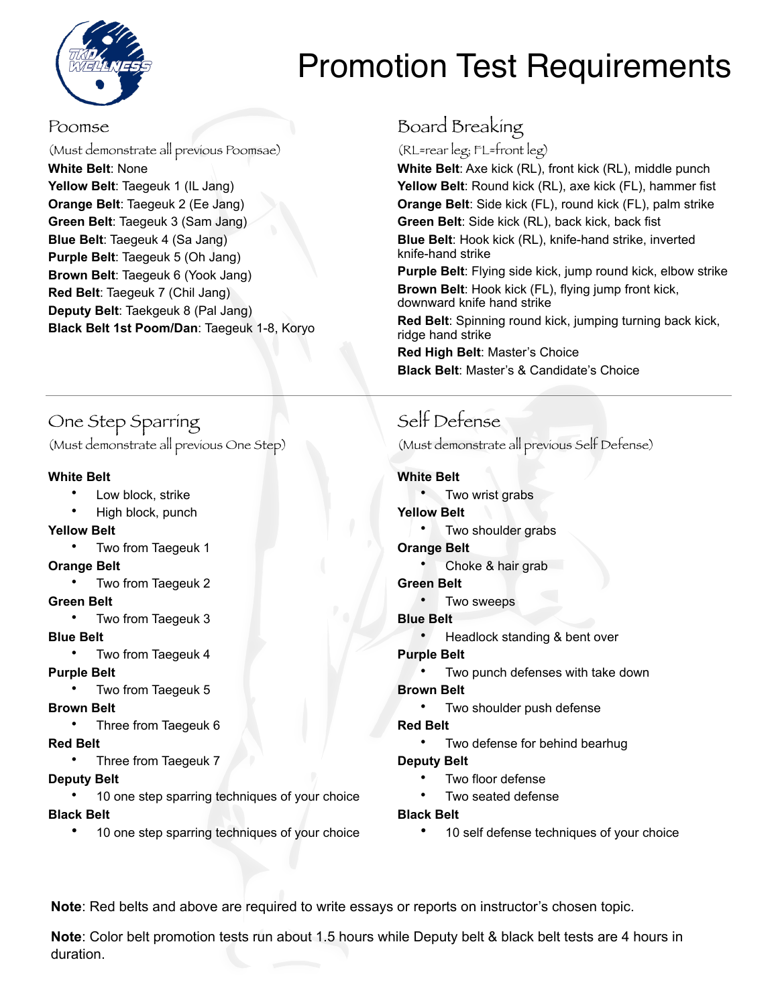

# Promotion Test Requirements

#### Poomse

(Must demonstrate all previous Poomsae) **White Belt**: None Yellow Belt: Taegeuk 1 (IL Jang) **Orange Belt**: Taegeuk 2 (Ee Jang) **Green Belt**: Taegeuk 3 (Sam Jang) **Blue Belt**: Taegeuk 4 (Sa Jang) **Purple Belt**: Taegeuk 5 (Oh Jang) **Brown Belt**: Taegeuk 6 (Yook Jang) **Red Belt**: Taegeuk 7 (Chil Jang) **Deputy Belt**: Taekgeuk 8 (Pal Jang) **Black Belt 1st Poom/Dan**: Taegeuk 1-8, Koryo

## One Step Sparring

(Must demonstrate all previous One Step)

#### **White Belt**

- Low block, strike
- High block, punch

#### **Yellow Belt**

• Two from Taegeuk 1

#### **Orange Belt**

• Two from Taegeuk 2

#### **Green Belt**

• Two from Taegeuk 3

#### **Blue Belt**

• Two from Taegeuk 4

#### **Purple Belt**

• Two from Taegeuk 5

#### **Brown Belt**

• Three from Taegeuk 6

#### **Red Belt**

• Three from Taegeuk 7

#### **Deputy Belt**

10 one step sparring techniques of your choice

#### **Black Belt**

10 one step sparring techniques of your choice

## Board Breaking

(RL=rear leg; FL=front leg)

**White Belt**: Axe kick (RL), front kick (RL), middle punch **Yellow Belt**: Round kick (RL), axe kick (FL), hammer fist **Orange Belt**: Side kick (FL), round kick (FL), palm strike **Green Belt**: Side kick (RL), back kick, back fist **Blue Belt**: Hook kick (RL), knife-hand strike, inverted knife-hand strike

**Purple Belt**: Flying side kick, jump round kick, elbow strike **Brown Belt**: Hook kick (FL), flying jump front kick, downward knife hand strike

**Red Belt**: Spinning round kick, jumping turning back kick, ridge hand strike

**Red High Belt**: Master's Choice **Black Belt**: Master's & Candidate's Choice

# Self Defense

(Must demonstrate all previous Self Defense)

#### **White Belt**

- Two wrist grabs
- **Yellow Belt**
	- Two shoulder grabs
- **Orange Belt**
	- Choke & hair grab

#### **Green Belt**

- Two sweeps
- **Blue Belt**
	- Headlock standing & bent over

#### **Purple Belt**

Two punch defenses with take down

#### **Brown Belt**

• Two shoulder push defense

#### **Red Belt**

Two defense for behind bearhug

#### **Deputy Belt**

- Two floor defense
- Two seated defense
- **Black Belt**
	- 10 self defense techniques of your choice

**Note**: Red belts and above are required to write essays or reports on instructor's chosen topic.

**Note**: Color belt promotion tests run about 1.5 hours while Deputy belt & black belt tests are 4 hours in duration.